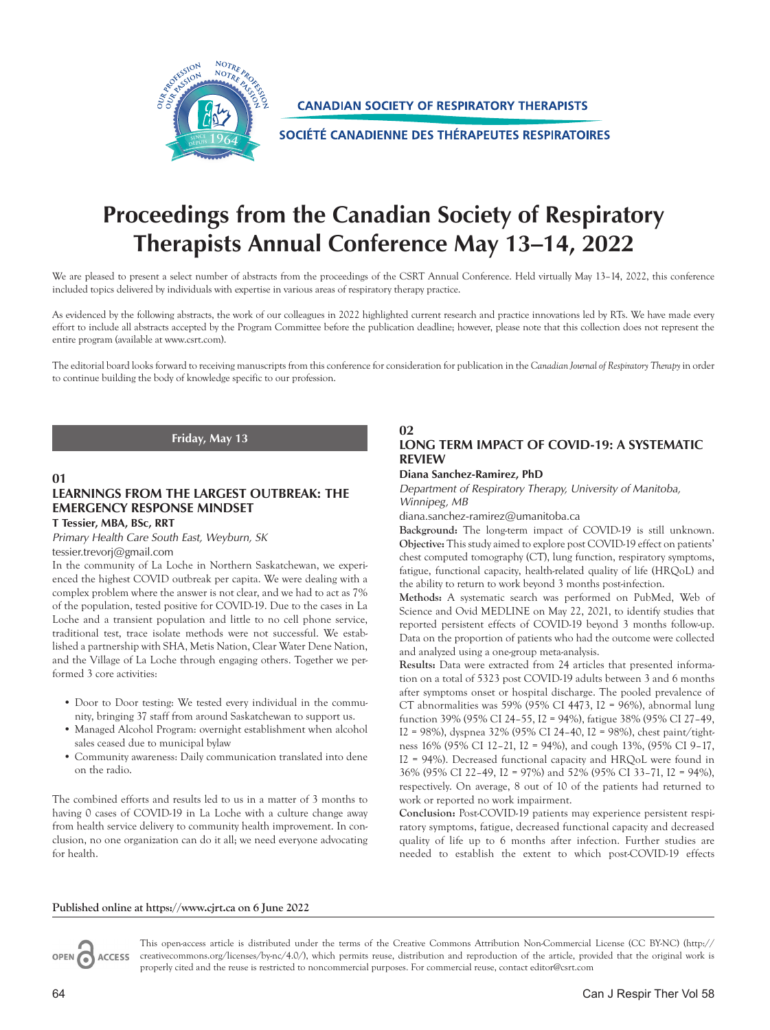

**CANADIAN SOCIETY OF RESPIRATORY THERAPISTS** 

SOCIÉTÉ CANADIENNE DES THÉRAPEUTES RESPIRATOIRES

# **Proceedings from the Canadian Society of Respiratory Therapists Annual Conference May 13–14, 2022**

We are pleased to present a select number of abstracts from the proceedings of the CSRT Annual Conference. Held virtually May 13–14, 2022, this conference included topics delivered by individuals with expertise in various areas of respiratory therapy practice.

As evidenced by the following abstracts, the work of our colleagues in 2022 highlighted current research and practice innovations led by RTs. We have made every effort to include all abstracts accepted by the Program Committee before the publication deadline; however, please note that this collection does not represent the entire program (available at www.csrt.com).

The editorial board looks forward to receiving manuscripts from this conference for consideration for publication in the *Canadian Journal of Respiratory Therapy* in order to continue building the body of knowledge specific to our profession.

### **Friday, May 13**

### **01**

# **LEARNINGS FROM THE LARGEST OUTBREAK: THE EMERGENCY RESPONSE MINDSET**

### **T Tessier, MBA, BSc, RRT**

Primary Health Care South East, Weyburn, SK

#### tessier.trevorj@gmail.com

In the community of La Loche in Northern Saskatchewan, we experienced the highest COVID outbreak per capita. We were dealing with a complex problem where the answer is not clear, and we had to act as 7% of the population, tested positive for COVID-19. Due to the cases in La Loche and a transient population and little to no cell phone service, traditional test, trace isolate methods were not successful. We established a partnership with SHA, Metis Nation, Clear Water Dene Nation, and the Village of La Loche through engaging others. Together we performed 3 core activities:

- Door to Door testing: We tested every individual in the community, bringing 37 staff from around Saskatchewan to support us.
- Managed Alcohol Program: overnight establishment when alcohol sales ceased due to municipal bylaw
- Community awareness: Daily communication translated into dene on the radio.

The combined efforts and results led to us in a matter of 3 months to having 0 cases of COVID-19 in La Loche with a culture change away from health service delivery to community health improvement. In conclusion, no one organization can do it all; we need everyone advocating for health.

### **02 LONG TERM IMPACT OF COVID-19: A SYSTEMATIC REVIEW**

#### **Diana Sanchez-Ramirez, PhD**

Department of Respiratory Therapy, University of Manitoba, Winnipeg, MB

diana.sanchez-ramirez@umanitoba.ca

**Background:** The long-term impact of COVID-19 is still unknown. **Objective:** This study aimed to explore post COVID-19 effect on patients' chest computed tomography (CT), lung function, respiratory symptoms, fatigue, functional capacity, health-related quality of life (HRQoL) and the ability to return to work beyond 3 months post-infection.

**Methods:** A systematic search was performed on PubMed, Web of Science and Ovid MEDLINE on May 22, 2021, to identify studies that reported persistent effects of COVID-19 beyond 3 months follow-up. Data on the proportion of patients who had the outcome were collected and analyzed using a one-group meta-analysis.

**Results:** Data were extracted from 24 articles that presented information on a total of 5323 post COVID-19 adults between 3 and 6 months after symptoms onset or hospital discharge. The pooled prevalence of CT abnormalities was 59% (95% CI 4473, I2 = 96%), abnormal lung function 39% (95% CI 24–55, I2 = 94%), fatigue 38% (95% CI 27–49, I2 = 98%), dyspnea 32% (95% CI 24–40, I2 = 98%), chest paint/tightness 16% (95% CI 12–21, I2 = 94%), and cough 13%, (95% CI 9–17, I2 = 94%). Decreased functional capacity and HRQoL were found in 36% (95% CI 22–49, I2 = 97%) and 52% (95% CI 33–71, I2 = 94%), respectively. On average, 8 out of 10 of the patients had returned to work or reported no work impairment.

**Conclusion:** Post-COVID-19 patients may experience persistent respiratory symptoms, fatigue, decreased functional capacity and decreased quality of life up to 6 months after infection. Further studies are needed to establish the extent to which post-COVID-19 effects

#### **Published online at https://www.cjrt.ca on 6 June 2022**

This open-access article is distributed under the terms of the Creative Commons Attribution Non-Commercial License (CC BY-NC) (http:// **OPEN CRESS** creativecommons.org/licenses/by-nc/4.0/), which permits reuse, distribution and reproduction of the article, provided that the original work is properly cited and the reuse is restricted to noncommercial purposes. For commercial reuse, contact editor@csrt.com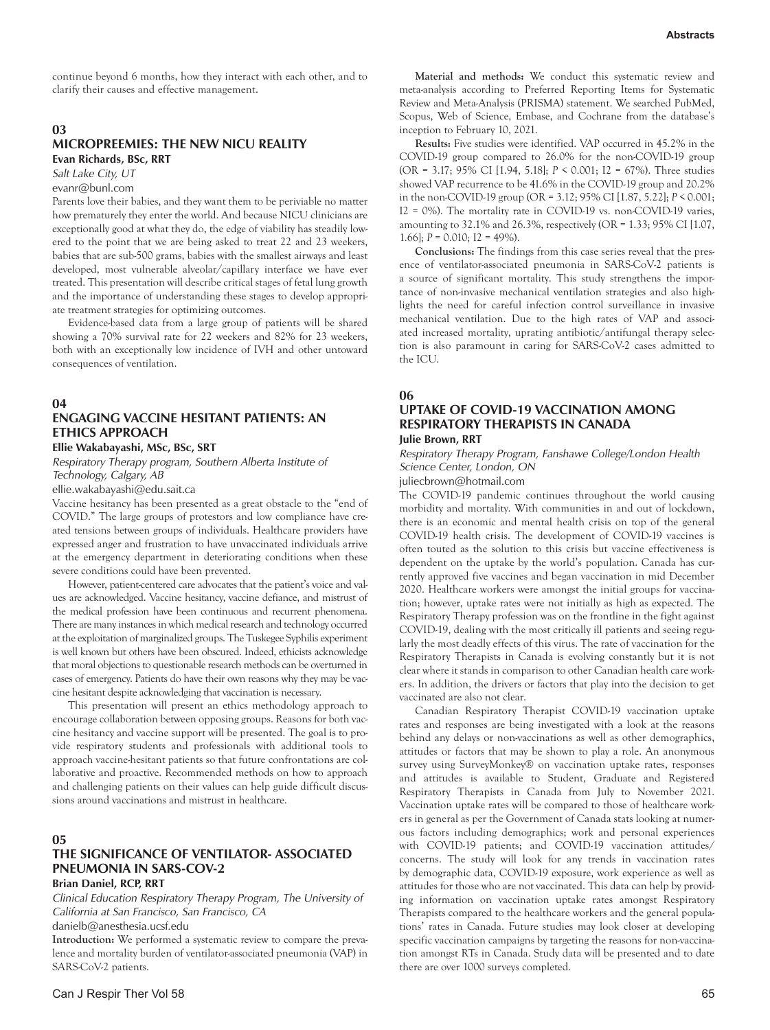continue beyond 6 months, how they interact with each other, and to clarify their causes and effective management.

### **03**

## **MICROPREEMIES: THE NEW NICU REALITY Evan Richards, BSc, RRT**

Salt Lake City, UT evanr@bunl.com

Parents love their babies, and they want them to be periviable no matter how prematurely they enter the world. And because NICU clinicians are exceptionally good at what they do, the edge of viability has steadily lowered to the point that we are being asked to treat 22 and 23 weekers, babies that are sub-500 grams, babies with the smallest airways and least developed, most vulnerable alveolar/capillary interface we have ever treated. This presentation will describe critical stages of fetal lung growth and the importance of understanding these stages to develop appropriate treatment strategies for optimizing outcomes.

Evidence-based data from a large group of patients will be shared showing a 70% survival rate for 22 weekers and 82% for 23 weekers, both with an exceptionally low incidence of IVH and other untoward consequences of ventilation.

### **04**

### **ENGAGING VACCINE HESITANT PATIENTS: AN ETHICS APPROACH Ellie Wakabayashi, MSc, BSc, SRT**

Respiratory Therapy program, Southern Alberta Institute of Technology, Calgary, AB

ellie.wakabayashi@edu.sait.ca

Vaccine hesitancy has been presented as a great obstacle to the "end of COVID." The large groups of protestors and low compliance have created tensions between groups of individuals. Healthcare providers have expressed anger and frustration to have unvaccinated individuals arrive at the emergency department in deteriorating conditions when these severe conditions could have been prevented.

However, patient-centered care advocates that the patient's voice and values are acknowledged. Vaccine hesitancy, vaccine defiance, and mistrust of the medical profession have been continuous and recurrent phenomena. There are many instances in which medical research and technology occurred at the exploitation of marginalized groups. The Tuskegee Syphilis experiment is well known but others have been obscured. Indeed, ethicists acknowledge that moral objections to questionable research methods can be overturned in cases of emergency. Patients do have their own reasons why they may be vaccine hesitant despite acknowledging that vaccination is necessary.

This presentation will present an ethics methodology approach to encourage collaboration between opposing groups. Reasons for both vaccine hesitancy and vaccine support will be presented. The goal is to provide respiratory students and professionals with additional tools to approach vaccine-hesitant patients so that future confrontations are collaborative and proactive. Recommended methods on how to approach and challenging patients on their values can help guide difficult discussions around vaccinations and mistrust in healthcare.

### **05**

# **THE SIGNIFICANCE OF VENTILATOR- ASSOCIATED PNEUMONIA IN SARS-COV-2**

### **Brian Daniel, RCP, RRT**

Clinical Education Respiratory Therapy Program, The University of California at San Francisco, San Francisco, CA

danielb@anesthesia.ucsf.edu

**Introduction:** We performed a systematic review to compare the prevalence and mortality burden of ventilator-associated pneumonia (VAP) in SARS-CoV-2 patients.

**Material and methods:** We conduct this systematic review and meta-analysis according to Preferred Reporting Items for Systematic Review and Meta-Analysis (PRISMA) statement. We searched PubMed, Scopus, Web of Science, Embase, and Cochrane from the database's inception to February 10, 2021.

**Results:** Five studies were identified. VAP occurred in 45.2% in the COVID-19 group compared to 26.0% for the non-COVID-19 group (OR = 3.17; 95% CI [1.94, 5.18]; *P* < 0.001; I2 = 67%). Three studies showed VAP recurrence to be 41.6% in the COVID-19 group and 20.2% in the non-COVID-19 group (OR = 3.12; 95% CI [1.87, 5.22]; *P* < 0.001; I2 = 0%). The mortality rate in COVID-19 vs. non-COVID-19 varies, amounting to 32.1% and 26.3%, respectively (OR = 1.33; 95% CI [1.07, 1.66]; *P* = 0.010; I2 = 49%).

**Conclusions:** The findings from this case series reveal that the presence of ventilator-associated pneumonia in SARS-CoV-2 patients is a source of significant mortality. This study strengthens the importance of non-invasive mechanical ventilation strategies and also highlights the need for careful infection control surveillance in invasive mechanical ventilation. Due to the high rates of VAP and associated increased mortality, uprating antibiotic/antifungal therapy selection is also paramount in caring for SARS-CoV-2 cases admitted to the ICU.

### **06**

### **UPTAKE OF COVID-19 VACCINATION AMONG RESPIRATORY THERAPISTS IN CANADA Julie Brown, RRT**

Respiratory Therapy Program, Fanshawe College/London Health Science Center, London, ON

juliecbrown@hotmail.com

The COVID-19 pandemic continues throughout the world causing morbidity and mortality. With communities in and out of lockdown, there is an economic and mental health crisis on top of the general COVID-19 health crisis. The development of COVID-19 vaccines is often touted as the solution to this crisis but vaccine effectiveness is dependent on the uptake by the world's population. Canada has currently approved five vaccines and began vaccination in mid December 2020. Healthcare workers were amongst the initial groups for vaccination; however, uptake rates were not initially as high as expected. The Respiratory Therapy profession was on the frontline in the fight against COVID-19, dealing with the most critically ill patients and seeing regularly the most deadly effects of this virus. The rate of vaccination for the Respiratory Therapists in Canada is evolving constantly but it is not clear where it stands in comparison to other Canadian health care workers. In addition, the drivers or factors that play into the decision to get vaccinated are also not clear.

Canadian Respiratory Therapist COVID-19 vaccination uptake rates and responses are being investigated with a look at the reasons behind any delays or non-vaccinations as well as other demographics, attitudes or factors that may be shown to play a role. An anonymous survey using SurveyMonkey® on vaccination uptake rates, responses and attitudes is available to Student, Graduate and Registered Respiratory Therapists in Canada from July to November 2021. Vaccination uptake rates will be compared to those of healthcare workers in general as per the Government of Canada stats looking at numerous factors including demographics; work and personal experiences with COVID-19 patients; and COVID-19 vaccination attitudes/ concerns. The study will look for any trends in vaccination rates by demographic data, COVID-19 exposure, work experience as well as attitudes for those who are not vaccinated. This data can help by providing information on vaccination uptake rates amongst Respiratory Therapists compared to the healthcare workers and the general populations' rates in Canada. Future studies may look closer at developing specific vaccination campaigns by targeting the reasons for non-vaccination amongst RTs in Canada. Study data will be presented and to date there are over 1000 surveys completed.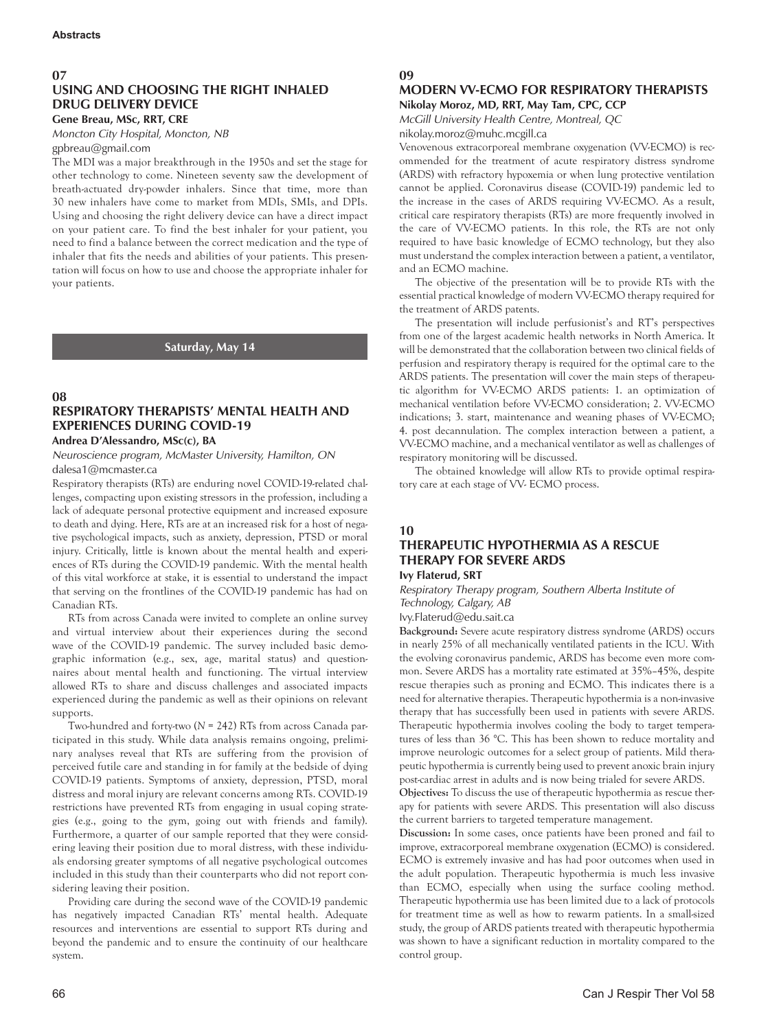### **Abstracts**

### **07 USING AND CHOOSING THE RIGHT INHALED DRUG DELIVERY DEVICE Gene Breau, MSc, RRT, CRE**

Moncton City Hospital, Moncton, NB

### gpbreau@gmail.com

The MDI was a major breakthrough in the 1950s and set the stage for other technology to come. Nineteen seventy saw the development of breath-actuated dry-powder inhalers. Since that time, more than 30 new inhalers have come to market from MDIs, SMIs, and DPIs. Using and choosing the right delivery device can have a direct impact on your patient care. To find the best inhaler for your patient, you need to find a balance between the correct medication and the type of inhaler that fits the needs and abilities of your patients. This presentation will focus on how to use and choose the appropriate inhaler for your patients.

**Saturday, May 14**

# **08 RESPIRATORY THERAPISTS' MENTAL HEALTH AND EXPERIENCES DURING COVID-19**

**Andrea D'Alessandro, MSc(c), BA** Neuroscience program, McMaster University, Hamilton, ON

dalesa1@mcmaster.ca

Respiratory therapists (RTs) are enduring novel COVID-19-related challenges, compacting upon existing stressors in the profession, including a lack of adequate personal protective equipment and increased exposure to death and dying. Here, RTs are at an increased risk for a host of negative psychological impacts, such as anxiety, depression, PTSD or moral injury. Critically, little is known about the mental health and experiences of RTs during the COVID-19 pandemic. With the mental health of this vital workforce at stake, it is essential to understand the impact that serving on the frontlines of the COVID-19 pandemic has had on Canadian RTs.

RTs from across Canada were invited to complete an online survey and virtual interview about their experiences during the second wave of the COVID-19 pandemic. The survey included basic demographic information (e.g., sex, age, marital status) and questionnaires about mental health and functioning. The virtual interview allowed RTs to share and discuss challenges and associated impacts experienced during the pandemic as well as their opinions on relevant supports.

Two-hundred and forty-two (*N* = 242) RTs from across Canada participated in this study. While data analysis remains ongoing, preliminary analyses reveal that RTs are suffering from the provision of perceived futile care and standing in for family at the bedside of dying COVID-19 patients. Symptoms of anxiety, depression, PTSD, moral distress and moral injury are relevant concerns among RTs. COVID-19 restrictions have prevented RTs from engaging in usual coping strategies (e.g., going to the gym, going out with friends and family). Furthermore, a quarter of our sample reported that they were considering leaving their position due to moral distress, with these individuals endorsing greater symptoms of all negative psychological outcomes included in this study than their counterparts who did not report considering leaving their position.

Providing care during the second wave of the COVID-19 pandemic has negatively impacted Canadian RTs' mental health. Adequate resources and interventions are essential to support RTs during and beyond the pandemic and to ensure the continuity of our healthcare system.

# **09 MODERN VV-ECMO FOR RESPIRATORY THERAPISTS**

**Nikolay Moroz, MD, RRT, May Tam, CPC, CCP** McGill University Health Centre, Montreal, QC

nikolay.moroz@muhc.mcgill.ca

Venovenous extracorporeal membrane oxygenation (VV-ECMO) is recommended for the treatment of acute respiratory distress syndrome (ARDS) with refractory hypoxemia or when lung protective ventilation cannot be applied. Coronavirus disease (COVID-19) pandemic led to the increase in the cases of ARDS requiring VV-ECMO. As a result, critical care respiratory therapists (RTs) are more frequently involved in the care of VV-ECMO patients. In this role, the RTs are not only required to have basic knowledge of ECMO technology, but they also must understand the complex interaction between a patient, a ventilator, and an ECMO machine.

The objective of the presentation will be to provide RTs with the essential practical knowledge of modern VV-ECMO therapy required for the treatment of ARDS patents.

The presentation will include perfusionist's and RT's perspectives from one of the largest academic health networks in North America. It will be demonstrated that the collaboration between two clinical fields of perfusion and respiratory therapy is required for the optimal care to the ARDS patients. The presentation will cover the main steps of therapeutic algorithm for VV-ECMO ARDS patients: 1. an optimization of mechanical ventilation before VV-ECMO consideration; 2. VV-ECMO indications; 3. start, maintenance and weaning phases of VV-ECMO; 4. post decannulation. The complex interaction between a patient, a VV-ECMO machine, and a mechanical ventilator as well as challenges of respiratory monitoring will be discussed.

The obtained knowledge will allow RTs to provide optimal respiratory care at each stage of VV- ECMO process.

### **10**

# **THERAPEUTIC HYPOTHERMIA AS A RESCUE THERAPY FOR SEVERE ARDS**

### **Ivy Flaterud, SRT**

Respiratory Therapy program, Southern Alberta Institute of Technology, Calgary, AB

Ivy.Flaterud@edu.sait.ca

**Background:** Severe acute respiratory distress syndrome (ARDS) occurs in nearly 25% of all mechanically ventilated patients in the ICU. With the evolving coronavirus pandemic, ARDS has become even more common. Severe ARDS has a mortality rate estimated at 35%–45%, despite rescue therapies such as proning and ECMO. This indicates there is a need for alternative therapies. Therapeutic hypothermia is a non-invasive therapy that has successfully been used in patients with severe ARDS. Therapeutic hypothermia involves cooling the body to target temperatures of less than 36 °C. This has been shown to reduce mortality and improve neurologic outcomes for a select group of patients. Mild therapeutic hypothermia is currently being used to prevent anoxic brain injury post-cardiac arrest in adults and is now being trialed for severe ARDS.

**Objectives:** To discuss the use of therapeutic hypothermia as rescue therapy for patients with severe ARDS. This presentation will also discuss the current barriers to targeted temperature management.

**Discussion:** In some cases, once patients have been proned and fail to improve, extracorporeal membrane oxygenation (ECMO) is considered. ECMO is extremely invasive and has had poor outcomes when used in the adult population. Therapeutic hypothermia is much less invasive than ECMO, especially when using the surface cooling method. Therapeutic hypothermia use has been limited due to a lack of protocols for treatment time as well as how to rewarm patients. In a small-sized study, the group of ARDS patients treated with therapeutic hypothermia was shown to have a significant reduction in mortality compared to the control group.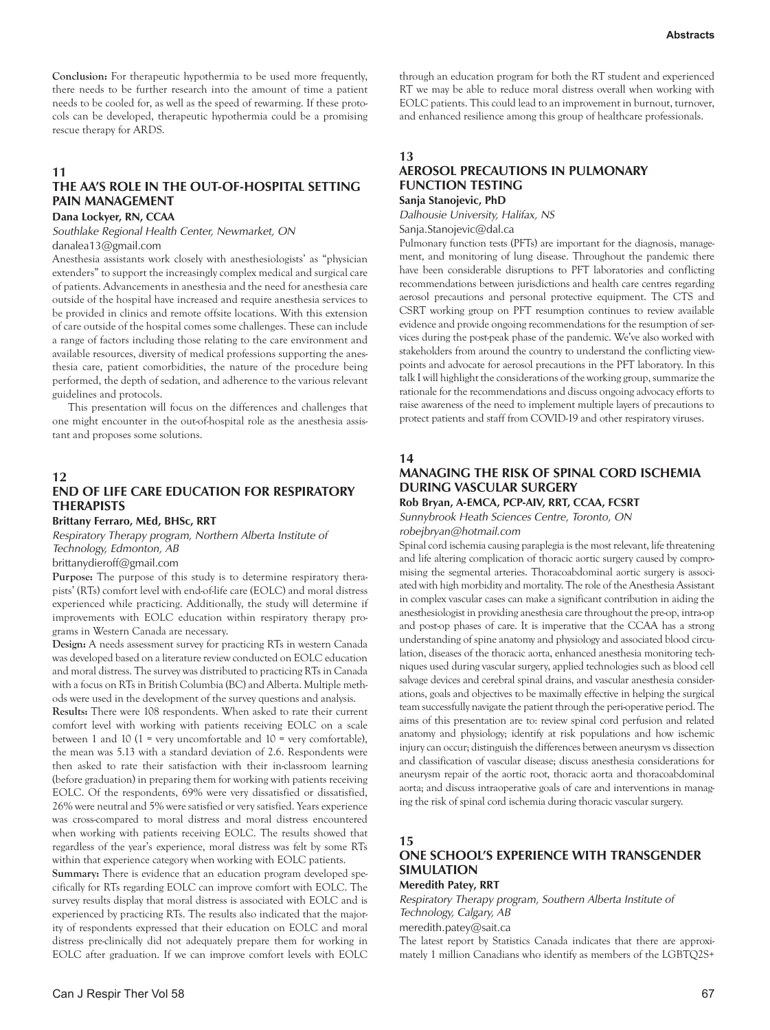## **11**

# **THE AA'S ROLE IN THE OUT-OF-HOSPITAL SETTING PAIN MANAGEMENT**

# **Dana Lockyer, RN, CCAA**

Southlake Regional Health Center, Newmarket, ON

### danalea13@gmail.com

Anesthesia assistants work closely with anesthesiologists' as "physician extenders" to support the increasingly complex medical and surgical care of patients. Advancements in anesthesia and the need for anesthesia care outside of the hospital have increased and require anesthesia services to be provided in clinics and remote offsite locations. With this extension of care outside of the hospital comes some challenges. These can include a range of factors including those relating to the care environment and available resources, diversity of medical professions supporting the anesthesia care, patient comorbidities, the nature of the procedure being performed, the depth of sedation, and adherence to the various relevant guidelines and protocols.

This presentation will focus on the differences and challenges that one might encounter in the out-of-hospital role as the anesthesia assistant and proposes some solutions.

### **12**

# **END OF LIFE CARE EDUCATION FOR RESPIRATORY THERAPISTS**

### **Brittany Ferraro, MEd, BHSc, RRT**

Respiratory Therapy program, Northern Alberta Institute of Technology, Edmonton, AB

brittanydieroff@gmail.com

**Purpose:** The purpose of this study is to determine respiratory therapists' (RTs) comfort level with end-of-life care (EOLC) and moral distress experienced while practicing. Additionally, the study will determine if improvements with EOLC education within respiratory therapy programs in Western Canada are necessary.

**Design:** A needs assessment survey for practicing RTs in western Canada was developed based on a literature review conducted on EOLC education and moral distress. The survey was distributed to practicing RTs in Canada with a focus on RTs in British Columbia (BC) and Alberta. Multiple methods were used in the development of the survey questions and analysis.

**Results:** There were 108 respondents. When asked to rate their current comfort level with working with patients receiving EOLC on a scale between 1 and 10 (1 = very uncomfortable and  $10$  = very comfortable), the mean was 5.13 with a standard deviation of 2.6. Respondents were then asked to rate their satisfaction with their in-classroom learning (before graduation) in preparing them for working with patients receiving EOLC. Of the respondents, 69% were very dissatisfied or dissatisfied, 26% were neutral and 5% were satisfied or very satisfied. Years experience was cross-compared to moral distress and moral distress encountered when working with patients receiving EOLC. The results showed that regardless of the year's experience, moral distress was felt by some RTs within that experience category when working with EOLC patients.

**Summary:** There is evidence that an education program developed specifically for RTs regarding EOLC can improve comfort with EOLC. The survey results display that moral distress is associated with EOLC and is experienced by practicing RTs. The results also indicated that the majority of respondents expressed that their education on EOLC and moral distress pre-clinically did not adequately prepare them for working in EOLC after graduation. If we can improve comfort levels with EOLC

through an education program for both the RT student and experienced RT we may be able to reduce moral distress overall when working with EOLC patients. This could lead to an improvement in burnout, turnover, and enhanced resilience among this group of healthcare professionals.

### **13**

### **AEROSOL PRECAUTIONS IN PULMONARY FUNCTION TESTING Sanja Stanojevic, PhD**

Dalhousie University, Halifax, NS Sanja.Stanojevic@dal.ca

Pulmonary function tests (PFTs) are important for the diagnosis, management, and monitoring of lung disease. Throughout the pandemic there have been considerable disruptions to PFT laboratories and conflicting recommendations between jurisdictions and health care centres regarding aerosol precautions and personal protective equipment. The CTS and CSRT working group on PFT resumption continues to review available evidence and provide ongoing recommendations for the resumption of services during the post-peak phase of the pandemic. We've also worked with stakeholders from around the country to understand the conflicting viewpoints and advocate for aerosol precautions in the PFT laboratory. In this talk I will highlight the considerations of the working group, summarize the rationale for the recommendations and discuss ongoing advocacy efforts to raise awareness of the need to implement multiple layers of precautions to protect patients and staff from COVID-19 and other respiratory viruses.

### **14**

## **MANAGING THE RISK OF SPINAL CORD ISCHEMIA DURING VASCULAR SURGERY**

### **Rob Bryan, A-EMCA, PCP-AIV, RRT, CCAA, FCSRT**

Sunnybrook Heath Sciences Centre, Toronto, ON robejbryan@hotmail.com

Spinal cord ischemia causing paraplegia is the most relevant, life threatening and life altering complication of thoracic aortic surgery caused by compromising the segmental arteries. Thoracoabdominal aortic surgery is associated with high morbidity and mortality. The role of the Anesthesia Assistant in complex vascular cases can make a significant contribution in aiding the anesthesiologist in providing anesthesia care throughout the pre-op, intra-op and post-op phases of care. It is imperative that the CCAA has a strong understanding of spine anatomy and physiology and associated blood circulation, diseases of the thoracic aorta, enhanced anesthesia monitoring techniques used during vascular surgery, applied technologies such as blood cell salvage devices and cerebral spinal drains, and vascular anesthesia considerations, goals and objectives to be maximally effective in helping the surgical team successfully navigate the patient through the peri-operative period. The aims of this presentation are to: review spinal cord perfusion and related anatomy and physiology; identify at risk populations and how ischemic injury can occur; distinguish the differences between aneurysm vs dissection and classification of vascular disease; discuss anesthesia considerations for aneurysm repair of the aortic root, thoracic aorta and thoracoabdominal aorta; and discuss intraoperative goals of care and interventions in managing the risk of spinal cord ischemia during thoracic vascular surgery.

# **15**

# **ONE SCHOOL'S EXPERIENCE WITH TRANSGENDER SIMULATION**

### **Meredith Patey, RRT**

Respiratory Therapy program, Southern Alberta Institute of Technology, Calgary, AB

meredith.patey@sait.ca

The latest report by Statistics Canada indicates that there are approximately 1 million Canadians who identify as members of the LGBTQ2S+